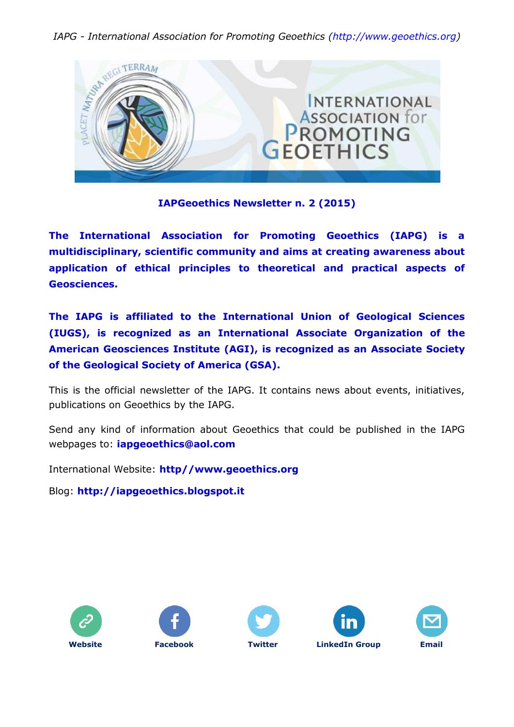*IAPG - International Association for Promoting Geoethics (http://www.geoethics.org)*



## **IAPGeoethics Newsletter n. 2 (2015)**

**The International Association for Promoting Geoethics (IAPG) is a multidisciplinary, scientific community and aims at creating awareness about application of ethical principles to theoretical and practical aspects of Geosciences.**

**The IAPG is affiliated to the International Union of Geological Sciences (IUGS), is recognized as an International Associate Organization of the American Geosciences Institute (AGI), is recognized as an Associate Society of the Geological Society of America (GSA).**

This is the official newsletter of the IAPG. It contains news about events, initiatives, publications on Geoethics by the IAPG.

Send any kind of information about Geoethics that could be published in the IAPG webpages to: **[iapgeoethics@aol.com](mailto:iapgeoethics@aol.com?subject=IAPG%20newsletter)**

International Website: **[http//www.geoethics.org](http://www.geoethics.org/)**

Blog: **[http://iapgeoethics.blogspot.it](http://iapgeoethics.blogspot.it/)**









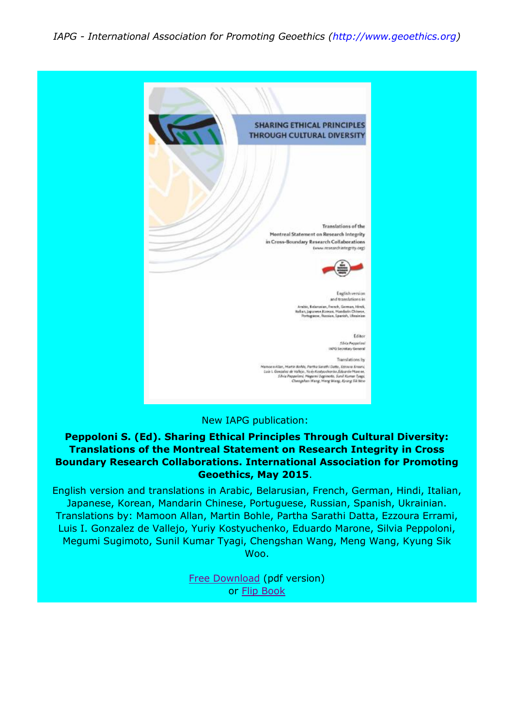

### New IAPG publication:

## **Peppoloni S. (Ed). Sharing Ethical Principles Through Cultural Diversity: Translations of the Montreal Statement on Research Integrity in Cross Boundary Research Collaborations. International Association for Promoting Geoethics, May 2015**.

English version and translations in Arabic, Belarusian, French, German, Hindi, Italian, Japanese, Korean, Mandarin Chinese, Portuguese, Russian, Spanish, Ukrainian. Translations by: Mamoon Allan, Martin Bohle, Partha Sarathi Datta, Ezzoura Errami, Luis I. Gonzalez de Vallejo, Yuriy Kostyuchenko, Eduardo Marone, Silvia Peppoloni, Megumi Sugimoto, Sunil Kumar Tyagi, Chengshan Wang, Meng Wang, Kyung Sik Woo.

> [Free Download](https://drive.google.com/file/d/0B3aSVI9mKpUhVEF6aUJaNGZ6ekU/view) (pdf version) or [Flip Book](http://fliphtml5.com/gqru/sgml)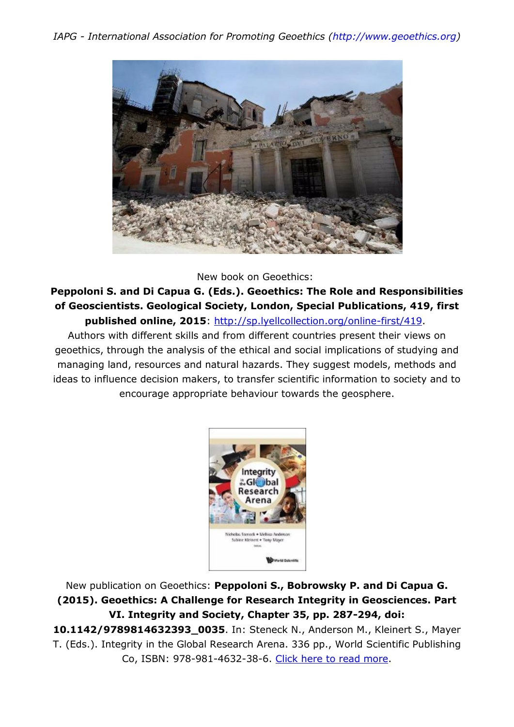

New book on Geoethics:

**Peppoloni S. and Di Capua G. (Eds.). Geoethics: The Role and Responsibilities of Geoscientists. Geological Society, London, Special Publications, 419, first published online, 2015**: [http://sp.lyellcollection.org/online-first/419.](http://sp.lyellcollection.org/online-first/419)

Authors with different skills and from different countries present their views on geoethics, through the analysis of the ethical and social implications of studying and managing land, resources and natural hazards. They suggest models, methods and ideas to influence decision makers, to transfer scientific information to society and to encourage appropriate behaviour towards the geosphere.



New publication on Geoethics: **Peppoloni S., Bobrowsky P. and Di Capua G. (2015). Geoethics: A Challenge for Research Integrity in Geosciences. Part VI. Integrity and Society, Chapter 35, pp. 287-294, doi: 10.1142/9789814632393\_0035**. In: Steneck N., Anderson M., Kleinert S., Mayer T. (Eds.). Integrity in the Global Research Arena. 336 pp., World Scientific Publishing Co, ISBN: 978-981-4632-38-6. [Click here to read more.](http://www.worldscientific.com/doi/abs/10.1142/9789814632393_0035)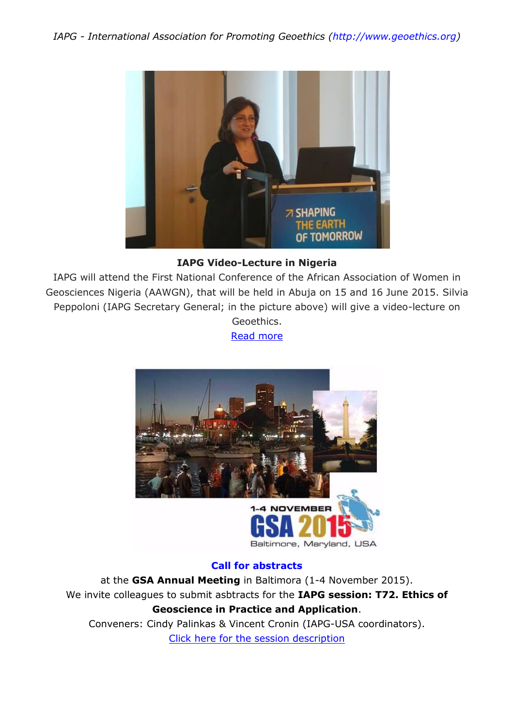

# **IAPG Video-Lecture in Nigeria**

IAPG will attend the First National Conference of the African Association of Women in Geosciences Nigeria (AAWGN), that will be held in Abuja on 15 and 16 June 2015. Silvia Peppoloni (IAPG Secretary General; in the picture above) will give a video-lecture on Geoethics.

[Read more](http://iapgeoethics.blogspot.it/2015/06/video-lecture-on-geoethics-at-aawgn.html)



# **Call for abstracts**

at the **GSA Annual Meeting** in Baltimora (1-4 November 2015). We invite colleagues to submit asbtracts for the **IAPG session: T72. Ethics of Geoscience in Practice and Application**. Conveners: Cindy Palinkas & Vincent Cronin (IAPG-USA coordinators).

[Click here for the session description](http://www.geosociety.org/meetings/2015/sessions/topical.asp)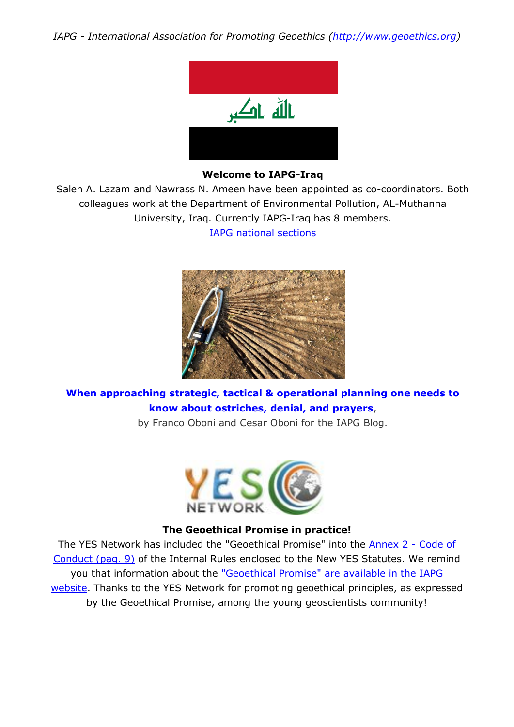*IAPG - International Association for Promoting Geoethics (http://www.geoethics.org)*



#### **Welcome to IAPG-Iraq**

Saleh A. Lazam and Nawrass N. Ameen have been appointed as co-coordinators. Both colleagues work at the Department of Environmental Pollution, AL-Muthanna University, Iraq. Currently IAPG-Iraq has 8 members.

[IAPG national sections](http://iapgeoethics.blogspot.it/p/national-sections.html)



**[When approaching strategic, tactical & operational planning one needs to](http://iapgeoethics.blogspot.it/2015/05/when-approaching-strategic-tactical.html)  [know about ostriches, denial, and prayers](http://iapgeoethics.blogspot.it/2015/05/when-approaching-strategic-tactical.html)**,

by Franco Oboni and Cesar Oboni for the IAPG Blog.



#### **The Geoethical Promise in practice!**

The YES Network has included the "Geoethical Promise" into the [Annex 2 -](http://www.networkyes.org/images/Document/YES_Internal_Rules_FINAL18012015.pdf) Code of [Conduct \(pag. 9\)](http://www.networkyes.org/images/Document/YES_Internal_Rules_FINAL18012015.pdf) of the Internal Rules enclosed to the New YES Statutes. We remind you that information about the ["Geoethical Promise" are available in the IAPG](http://www.iapg.geoethics.org/tools/gp)  [website.](http://www.iapg.geoethics.org/tools/gp) Thanks to the YES Network for promoting geoethical principles, as expressed by the Geoethical Promise, among the young geoscientists community!